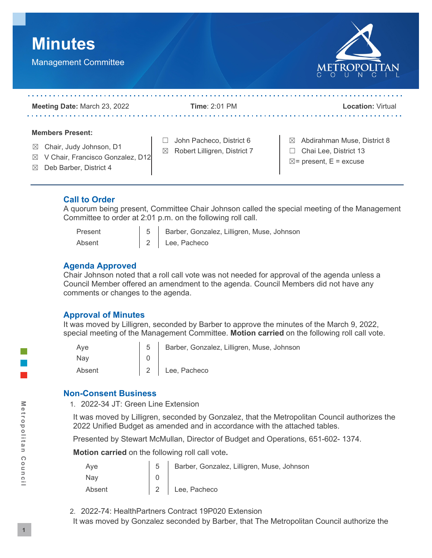



| <b>Meeting Date: March 23, 2022</b>                                                                                                                         | Time: $2:01$ PM                                                         | <b>Location: Virtual</b>                                                                       |
|-------------------------------------------------------------------------------------------------------------------------------------------------------------|-------------------------------------------------------------------------|------------------------------------------------------------------------------------------------|
| <b>Members Present:</b><br>Chair, Judy Johnson, D1<br>$\boxtimes$<br>V Chair, Francisco Gonzalez, D12<br>$\boxtimes$<br>Deb Barber, District 4<br>$\bowtie$ | John Pacheco, District 6<br>Robert Lilligren, District 7<br>$\boxtimes$ | Abdirahman Muse, District 8<br>⊠<br>Chai Lee. District 13<br>$\boxtimes$ = present, E = excuse |

## **Call to Order**

A quorum being present, Committee Chair Johnson called the special meeting of the Management Committee to order at 2:01 p.m. on the following roll call.

| Present | 5 Barber, Gonzalez, Lilligren, Muse, Johnson |
|---------|----------------------------------------------|
| Absent  | 2 Lee, Pacheco                               |

#### **Agenda Approved**

Chair Johnson noted that a roll call vote was not needed for approval of the agenda unless a Council Member offered an amendment to the agenda. Council Members did not have any comments or changes to the agenda.

## **Approval of Minutes**

It was moved by Lilligren, seconded by Barber to approve the minutes of the March 9, 2022, special meeting of the Management Committee. **Motion carried** on the following roll call vote.

| Ave    | Barber, Gonzalez, Lilligren, Muse, Johnson |
|--------|--------------------------------------------|
| Nav    |                                            |
| Absent | 2 Lee, Pacheco                             |

## **Non-Consent Business**

1. 2022-34 JT: Green Line Extension

It was moved by Lilligren, seconded by Gonzalez, that the Metropolitan Council authorizes the 2022 Unified Budget as amended and in accordance with the attached tables.

Presented by Stewart McMullan, Director of Budget and Operations, 651-602- 1374.

**Motion carried** on the following roll call vote**.**

| Aye    | 5 Barber, Gonzalez, Lilligren, Muse, Johnson |
|--------|----------------------------------------------|
| Nay    |                                              |
| Absent | 2 Lee, Pacheco                               |

- 2. 2022-74: HealthPartners Contract 19P020 Extension
- It was moved by Gonzalez seconded by Barber, that The Metropolitan Council authorize the